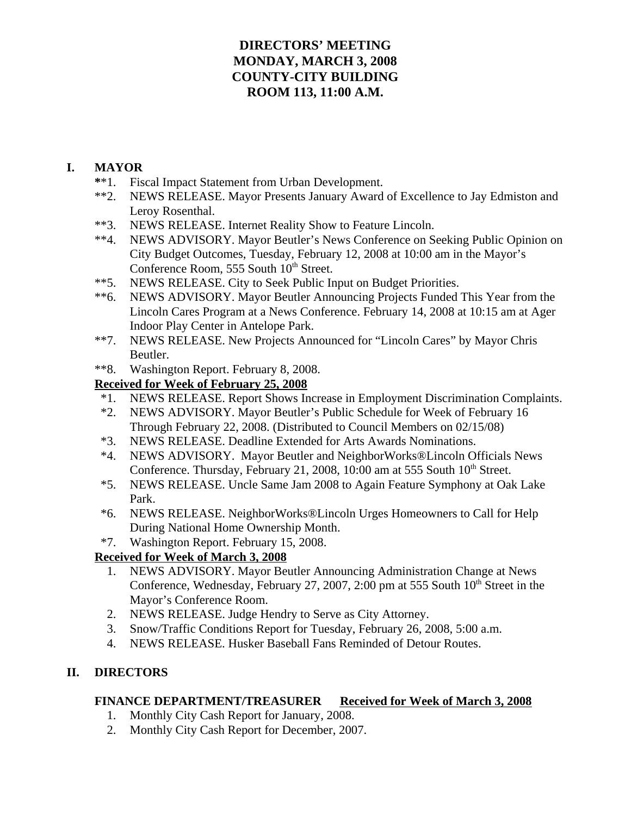## **DIRECTORS' MEETING MONDAY, MARCH 3, 2008 COUNTY-CITY BUILDING ROOM 113, 11:00 A.M.**

## **I. MAYOR**

- **\***\*1. Fiscal Impact Statement from Urban Development.
- \*\*2. NEWS RELEASE. Mayor Presents January Award of Excellence to Jay Edmiston and Leroy Rosenthal.
- \*\*3. NEWS RELEASE. Internet Reality Show to Feature Lincoln.
- \*\*4. NEWS ADVISORY. Mayor Beutler's News Conference on Seeking Public Opinion on City Budget Outcomes, Tuesday, February 12, 2008 at 10:00 am in the Mayor's Conference Room, 555 South 10<sup>th</sup> Street.
- \*\*5. NEWS RELEASE. City to Seek Public Input on Budget Priorities.
- \*\*6. NEWS ADVISORY. Mayor Beutler Announcing Projects Funded This Year from the Lincoln Cares Program at a News Conference. February 14, 2008 at 10:15 am at Ager Indoor Play Center in Antelope Park.
- \*\*7. NEWS RELEASE. New Projects Announced for "Lincoln Cares" by Mayor Chris Beutler.
- \*\*8. Washington Report. February 8, 2008.

## **Received for Week of February 25, 2008**

- \*1. NEWS RELEASE. Report Shows Increase in Employment Discrimination Complaints.
- \*2. NEWS ADVISORY. Mayor Beutler's Public Schedule for Week of February 16 Through February 22, 2008. (Distributed to Council Members on 02/15/08)
- \*3. NEWS RELEASE. Deadline Extended for Arts Awards Nominations.
- \*4. NEWS ADVISORY. Mayor Beutler and NeighborWorks®Lincoln Officials News Conference. Thursday, February 21, 2008, 10:00 am at 555 South  $10<sup>th</sup>$  Street.
- \*5. NEWS RELEASE. Uncle Same Jam 2008 to Again Feature Symphony at Oak Lake Park.
- \*6. NEWS RELEASE. NeighborWorks®Lincoln Urges Homeowners to Call for Help During National Home Ownership Month.
- \*7. Washington Report. February 15, 2008.

## **Received for Week of March 3, 2008**

- 1. NEWS ADVISORY. Mayor Beutler Announcing Administration Change at News Conference, Wednesday, February 27, 2007, 2:00 pm at 555 South  $10<sup>th</sup>$  Street in the Mayor's Conference Room.
- 2. NEWS RELEASE. Judge Hendry to Serve as City Attorney.
- 3. Snow/Traffic Conditions Report for Tuesday, February 26, 2008, 5:00 a.m.
- 4. NEWS RELEASE. Husker Baseball Fans Reminded of Detour Routes.

## **II. DIRECTORS**

### **FINANCE DEPARTMENT/TREASURER Received for Week of March 3, 2008**

- 1. Monthly City Cash Report for January, 2008.
- 2. Monthly City Cash Report for December, 2007.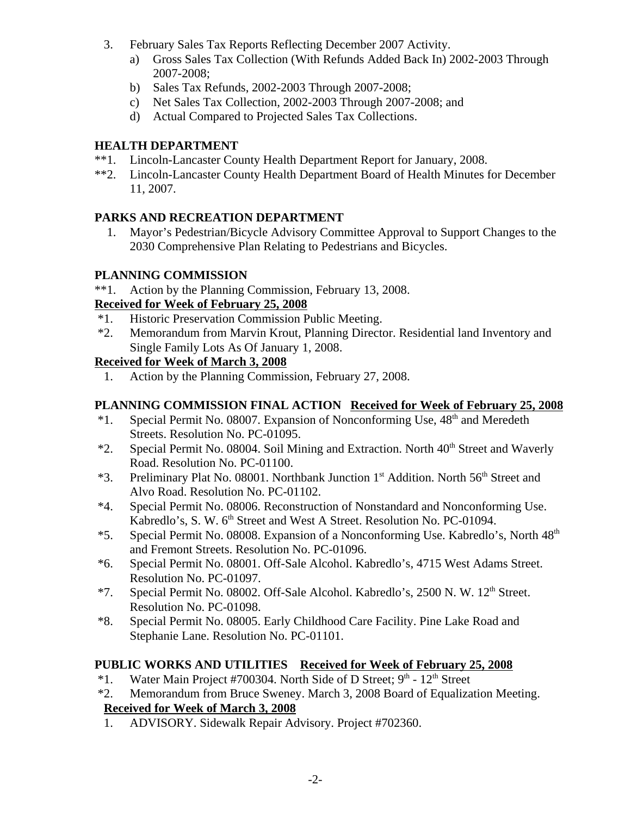- 3. February Sales Tax Reports Reflecting December 2007 Activity.
	- a) Gross Sales Tax Collection (With Refunds Added Back In) 2002-2003 Through 2007-2008;
	- b) Sales Tax Refunds, 2002-2003 Through 2007-2008;
	- c) Net Sales Tax Collection, 2002-2003 Through 2007-2008; and
	- d) Actual Compared to Projected Sales Tax Collections.

## **HEALTH DEPARTMENT**

- \*\*1. Lincoln-Lancaster County Health Department Report for January, 2008.
- \*\*2. Lincoln-Lancaster County Health Department Board of Health Minutes for December 11, 2007.

## **PARKS AND RECREATION DEPARTMENT**

 1. Mayor's Pedestrian/Bicycle Advisory Committee Approval to Support Changes to the 2030 Comprehensive Plan Relating to Pedestrians and Bicycles.

## **PLANNING COMMISSION**

\*\*1. Action by the Planning Commission, February 13, 2008.

## **Received for Week of February 25, 2008**

- \*1. Historic Preservation Commission Public Meeting.
- \*2. Memorandum from Marvin Krout, Planning Director. Residential land Inventory and Single Family Lots As Of January 1, 2008.

## **Received for Week of March 3, 2008**

1. Action by the Planning Commission, February 27, 2008.

## **PLANNING COMMISSION FINAL ACTION Received for Week of February 25, 2008**

- \*1. Special Permit No. 08007. Expansion of Nonconforming Use, 48th and Meredeth Streets. Resolution No. PC-01095.
- $*2.$  Special Permit No. 08004. Soil Mining and Extraction. North  $40<sup>th</sup>$  Street and Waverly Road. Resolution No. PC-01100.
- $*3.$  Preliminary Plat No. 08001. Northbank Junction 1<sup>st</sup> Addition. North 56<sup>th</sup> Street and Alvo Road. Resolution No. PC-01102.
- \*4. Special Permit No. 08006. Reconstruction of Nonstandard and Nonconforming Use. Kabredlo's, S. W. 6<sup>th</sup> Street and West A Street. Resolution No. PC-01094.
- \*5. Special Permit No. 08008. Expansion of a Nonconforming Use. Kabredlo's, North 48<sup>th</sup> and Fremont Streets. Resolution No. PC-01096.
- \*6. Special Permit No. 08001. Off-Sale Alcohol. Kabredlo's, 4715 West Adams Street. Resolution No. PC-01097.
- \*7. Special Permit No. 08002. Off-Sale Alcohol. Kabredlo's, 2500 N. W. 12<sup>th</sup> Street. Resolution No. PC-01098.
- \*8. Special Permit No. 08005. Early Childhood Care Facility. Pine Lake Road and Stephanie Lane. Resolution No. PC-01101.

## **PUBLIC WORKS AND UTILITIES Received for Week of February 25, 2008**

- \*1. Water Main Project #700304. North Side of D Street;  $9<sup>th</sup>$   $12<sup>th</sup>$  Street
- \*2. Memorandum from Bruce Sweney. March 3, 2008 Board of Equalization Meeting.  **Received for Week of March 3, 2008**
- 1. ADVISORY. Sidewalk Repair Advisory. Project #702360.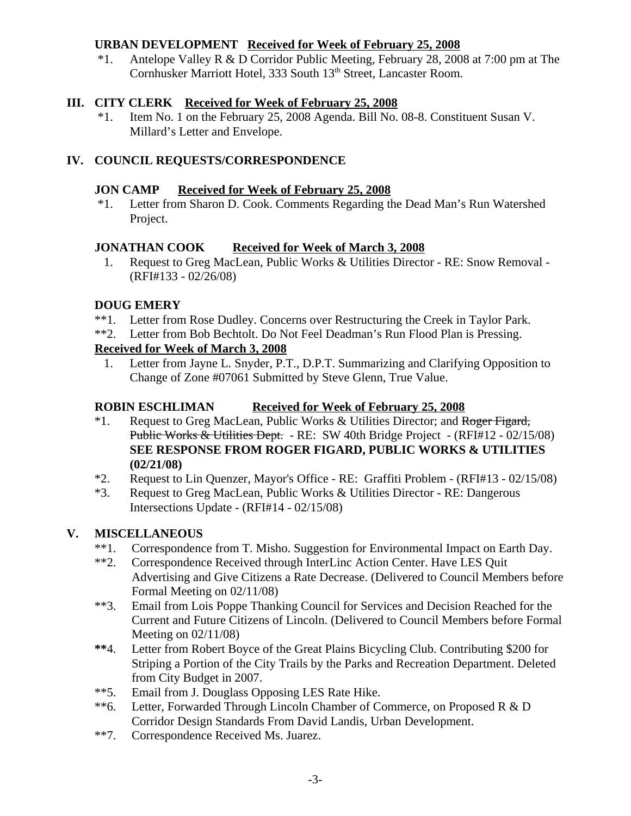## **URBAN DEVELOPMENT Received for Week of February 25, 2008**

 \*1. Antelope Valley R & D Corridor Public Meeting, February 28, 2008 at 7:00 pm at The Cornhusker Marriott Hotel, 333 South 13<sup>th</sup> Street, Lancaster Room.

## **III. CITY CLERK Received for Week of February 25, 2008**

\*1. Item No. 1 on the February 25, 2008 Agenda. Bill No. 08-8. Constituent Susan V. Millard's Letter and Envelope.

## **IV. COUNCIL REQUESTS/CORRESPONDENCE**

### **JON CAMP Received for Week of February 25, 2008**

 \*1. Letter from Sharon D. Cook. Comments Regarding the Dead Man's Run Watershed Project.

## **JONATHAN COOK Received for Week of March 3, 2008**

1. Request to Greg MacLean, Public Works & Utilities Director - RE: Snow Removal - (RFI#133 - 02/26/08)

## **DOUG EMERY**

- \*\*1. Letter from Rose Dudley. Concerns over Restructuring the Creek in Taylor Park.
- \*\*2. Letter from Bob Bechtolt. Do Not Feel Deadman's Run Flood Plan is Pressing.

## **Received for Week of March 3, 2008**

1. Letter from Jayne L. Snyder, P.T., D.P.T. Summarizing and Clarifying Opposition to Change of Zone #07061 Submitted by Steve Glenn, True Value.

## **ROBIN ESCHLIMAN Received for Week of February 25, 2008**

- \*1. Request to Greg MacLean, Public Works & Utilities Director; and Roger Figard, Public Works & Utilities Dept. - RE: SW 40th Bridge Project - (RFI#12 - 02/15/08) **SEE RESPONSE FROM ROGER FIGARD, PUBLIC WORKS & UTILITIES (02/21/08)**
- \*2. Request to Lin Quenzer, Mayor's Office RE: Graffiti Problem (RFI#13 02/15/08)
- \*3. Request to Greg MacLean, Public Works & Utilities Director RE: Dangerous Intersections Update - (RFI#14 - 02/15/08)

## **V. MISCELLANEOUS**

- \*\*1. Correspondence from T. Misho. Suggestion for Environmental Impact on Earth Day.
- \*\*2. Correspondence Received through InterLinc Action Center. Have LES Quit Advertising and Give Citizens a Rate Decrease. (Delivered to Council Members before Formal Meeting on 02/11/08)
- \*\*3. Email from Lois Poppe Thanking Council for Services and Decision Reached for the Current and Future Citizens of Lincoln. (Delivered to Council Members before Formal Meeting on 02/11/08)
- **\*\***4. Letter from Robert Boyce of the Great Plains Bicycling Club. Contributing \$200 for Striping a Portion of the City Trails by the Parks and Recreation Department. Deleted from City Budget in 2007.
- \*\*5. Email from J. Douglass Opposing LES Rate Hike.
- \*\*6. Letter, Forwarded Through Lincoln Chamber of Commerce, on Proposed R & D Corridor Design Standards From David Landis, Urban Development.
- \*\*7. Correspondence Received Ms. Juarez.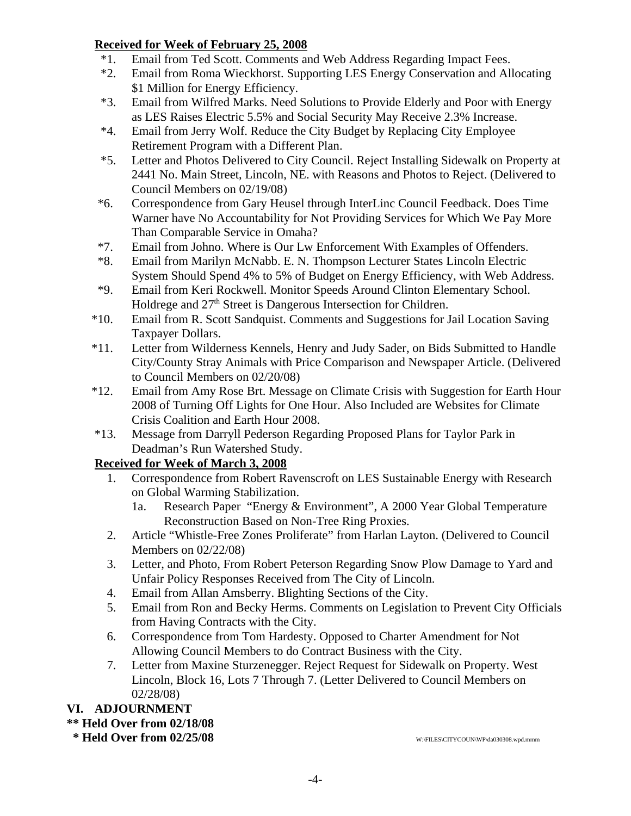## **Received for Week of February 25, 2008**

- \*1. Email from Ted Scott. Comments and Web Address Regarding Impact Fees.
- \*2. Email from Roma Wieckhorst. Supporting LES Energy Conservation and Allocating \$1 Million for Energy Efficiency.
- \*3. Email from Wilfred Marks. Need Solutions to Provide Elderly and Poor with Energy as LES Raises Electric 5.5% and Social Security May Receive 2.3% Increase.
- \*4. Email from Jerry Wolf. Reduce the City Budget by Replacing City Employee Retirement Program with a Different Plan.
- \*5. Letter and Photos Delivered to City Council. Reject Installing Sidewalk on Property at 2441 No. Main Street, Lincoln, NE. with Reasons and Photos to Reject. (Delivered to Council Members on 02/19/08)
- \*6. Correspondence from Gary Heusel through InterLinc Council Feedback. Does Time Warner have No Accountability for Not Providing Services for Which We Pay More Than Comparable Service in Omaha?
- \*7. Email from Johno. Where is Our Lw Enforcement With Examples of Offenders.
- \*8. Email from Marilyn McNabb. E. N. Thompson Lecturer States Lincoln Electric System Should Spend 4% to 5% of Budget on Energy Efficiency, with Web Address.
- \*9. Email from Keri Rockwell. Monitor Speeds Around Clinton Elementary School. Holdrege and  $27<sup>th</sup>$  Street is Dangerous Intersection for Children.
- \*10. Email from R. Scott Sandquist. Comments and Suggestions for Jail Location Saving Taxpayer Dollars.
- \*11. Letter from Wilderness Kennels, Henry and Judy Sader, on Bids Submitted to Handle City/County Stray Animals with Price Comparison and Newspaper Article. (Delivered to Council Members on 02/20/08)
- \*12. Email from Amy Rose Brt. Message on Climate Crisis with Suggestion for Earth Hour 2008 of Turning Off Lights for One Hour. Also Included are Websites for Climate Crisis Coalition and Earth Hour 2008.
- \*13. Message from Darryll Pederson Regarding Proposed Plans for Taylor Park in Deadman's Run Watershed Study.

## **Received for Week of March 3, 2008**

- 1. Correspondence from Robert Ravenscroft on LES Sustainable Energy with Research on Global Warming Stabilization.
	- 1a. Research Paper "Energy & Environment", A 2000 Year Global Temperature Reconstruction Based on Non-Tree Ring Proxies.
- 2. Article "Whistle-Free Zones Proliferate" from Harlan Layton. (Delivered to Council Members on 02/22/08)
- 3. Letter, and Photo, From Robert Peterson Regarding Snow Plow Damage to Yard and Unfair Policy Responses Received from The City of Lincoln.
- 4. Email from Allan Amsberry. Blighting Sections of the City.
- 5. Email from Ron and Becky Herms. Comments on Legislation to Prevent City Officials from Having Contracts with the City.
- 6. Correspondence from Tom Hardesty. Opposed to Charter Amendment for Not Allowing Council Members to do Contract Business with the City.
- 7. Letter from Maxine Sturzenegger. Reject Request for Sidewalk on Property. West Lincoln, Block 16, Lots 7 Through 7. (Letter Delivered to Council Members on 02/28/08)

## **VI. ADJOURNMENT**

### **\*\* Held Over from 02/18/08**

 **\* Held Over from 02/25/08** W:\FILES\CITYCOUN\WP\da030308.wpd.mmm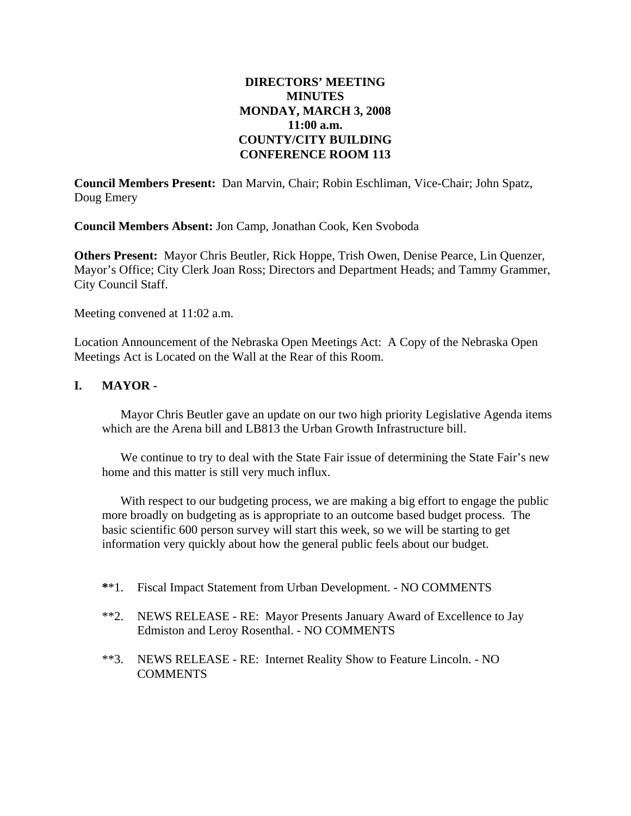### **DIRECTORS' MEETING MINUTES MONDAY, MARCH 3, 2008 11:00 a.m. COUNTY/CITY BUILDING CONFERENCE ROOM 113**

**Council Members Present:** Dan Marvin, Chair; Robin Eschliman, Vice-Chair; John Spatz, Doug Emery

**Council Members Absent:** Jon Camp, Jonathan Cook, Ken Svoboda

**Others Present:** Mayor Chris Beutler, Rick Hoppe, Trish Owen, Denise Pearce, Lin Quenzer, Mayor's Office; City Clerk Joan Ross; Directors and Department Heads; and Tammy Grammer, City Council Staff.

Meeting convened at 11:02 a.m.

Location Announcement of the Nebraska Open Meetings Act: A Copy of the Nebraska Open Meetings Act is Located on the Wall at the Rear of this Room.

### **I. MAYOR -**

Mayor Chris Beutler gave an update on our two high priority Legislative Agenda items which are the Arena bill and LB813 the Urban Growth Infrastructure bill.

We continue to try to deal with the State Fair issue of determining the State Fair's new home and this matter is still very much influx.

With respect to our budgeting process, we are making a big effort to engage the public more broadly on budgeting as is appropriate to an outcome based budget process. The basic scientific 600 person survey will start this week, so we will be starting to get information very quickly about how the general public feels about our budget.

- **\***\*1. Fiscal Impact Statement from Urban Development. NO COMMENTS
- \*\*2. NEWS RELEASE RE: Mayor Presents January Award of Excellence to Jay Edmiston and Leroy Rosenthal. - NO COMMENTS
- \*\*3. NEWS RELEASE RE: Internet Reality Show to Feature Lincoln. NO COMMENTS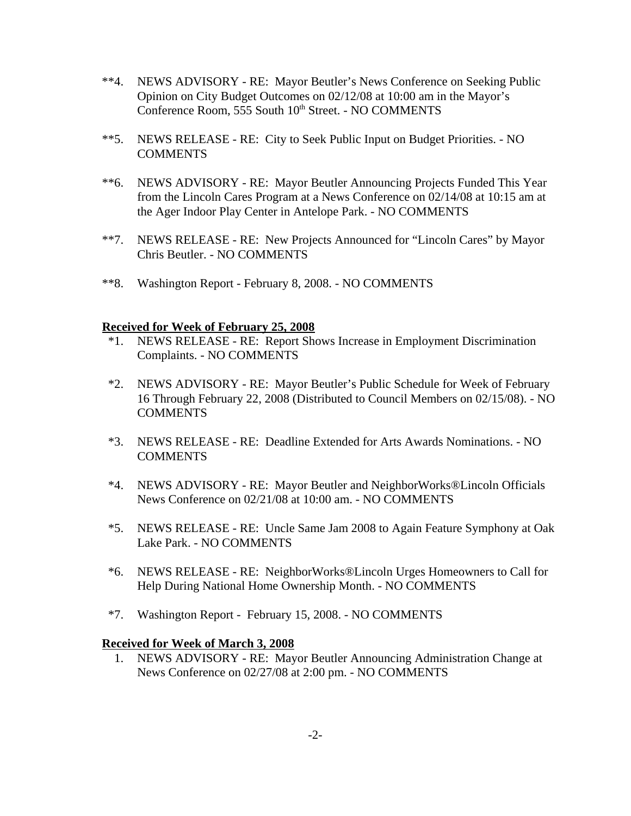- \*\*4. NEWS ADVISORY RE: Mayor Beutler's News Conference on Seeking Public Opinion on City Budget Outcomes on 02/12/08 at 10:00 am in the Mayor's Conference Room, 555 South 10<sup>th</sup> Street. - NO COMMENTS
- \*\*5. NEWS RELEASE RE: City to Seek Public Input on Budget Priorities. NO **COMMENTS**
- \*\*6. NEWS ADVISORY RE: Mayor Beutler Announcing Projects Funded This Year from the Lincoln Cares Program at a News Conference on 02/14/08 at 10:15 am at the Ager Indoor Play Center in Antelope Park. - NO COMMENTS
- \*\*7. NEWS RELEASE RE: New Projects Announced for "Lincoln Cares" by Mayor Chris Beutler. - NO COMMENTS
- \*\*8. Washington Report February 8, 2008. NO COMMENTS

#### **Received for Week of February 25, 2008**

- \*1. NEWS RELEASE RE: Report Shows Increase in Employment Discrimination Complaints. - NO COMMENTS
- \*2. NEWS ADVISORY RE: Mayor Beutler's Public Schedule for Week of February 16 Through February 22, 2008 (Distributed to Council Members on 02/15/08). - NO **COMMENTS**
- \*3. NEWS RELEASE RE: Deadline Extended for Arts Awards Nominations. NO **COMMENTS**
- \*4. NEWS ADVISORY RE: Mayor Beutler and NeighborWorks®Lincoln Officials News Conference on 02/21/08 at 10:00 am. - NO COMMENTS
- \*5. NEWS RELEASE RE: Uncle Same Jam 2008 to Again Feature Symphony at Oak Lake Park. - NO COMMENTS
- \*6. NEWS RELEASE RE: NeighborWorks®Lincoln Urges Homeowners to Call for Help During National Home Ownership Month. - NO COMMENTS
- \*7. Washington Report February 15, 2008. NO COMMENTS

#### **Received for Week of March 3, 2008**

 1. NEWS ADVISORY - RE: Mayor Beutler Announcing Administration Change at News Conference on 02/27/08 at 2:00 pm. - NO COMMENTS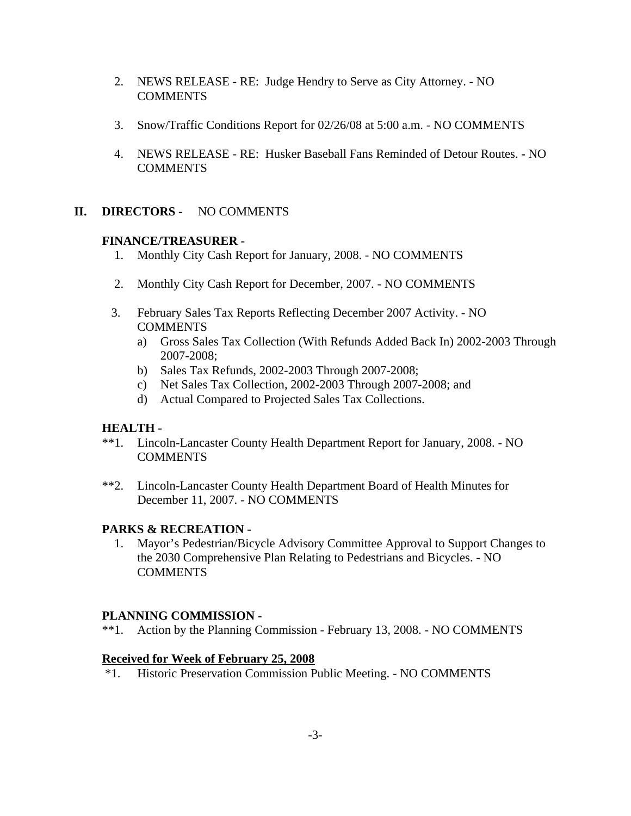- 2. NEWS RELEASE RE: Judge Hendry to Serve as City Attorney. NO COMMENTS
- 3. Snow/Traffic Conditions Report for 02/26/08 at 5:00 a.m. NO COMMENTS
- 4. NEWS RELEASE RE: Husker Baseball Fans Reminded of Detour Routes.NO COMMENTS

### **II. DIRECTORS -** NO COMMENTS

### **FINANCE/TREASURER -**

- 1. Monthly City Cash Report for January, 2008. NO COMMENTS
- 2. Monthly City Cash Report for December, 2007. NO COMMENTS
- 3. February Sales Tax Reports Reflecting December 2007 Activity. NO **COMMENTS** 
	- a) Gross Sales Tax Collection (With Refunds Added Back In) 2002-2003 Through 2007-2008;
	- b) Sales Tax Refunds, 2002-2003 Through 2007-2008;
	- c) Net Sales Tax Collection, 2002-2003 Through 2007-2008; and
	- d) Actual Compared to Projected Sales Tax Collections.

#### **HEALTH -**

- \*\*1. Lincoln-Lancaster County Health Department Report for January, 2008. NO COMMENTS
- \*\*2. Lincoln-Lancaster County Health Department Board of Health Minutes for December 11, 2007. - NO COMMENTS

### **PARKS & RECREATION -**

 1. Mayor's Pedestrian/Bicycle Advisory Committee Approval to Support Changes to the 2030 Comprehensive Plan Relating to Pedestrians and Bicycles. - NO **COMMENTS** 

### **PLANNING COMMISSION -**

\*\*1. Action by the Planning Commission - February 13, 2008. - NO COMMENTS

#### **Received for Week of February 25, 2008**

\*1. Historic Preservation Commission Public Meeting. - NO COMMENTS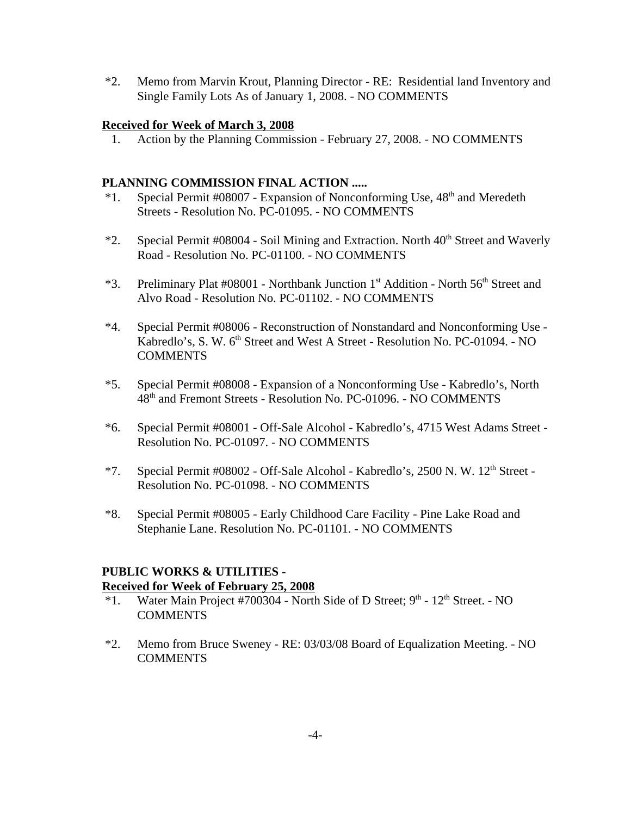\*2. Memo from Marvin Krout, Planning Director - RE: Residential land Inventory and Single Family Lots As of January 1, 2008. - NO COMMENTS

#### **Received for Week of March 3, 2008**

1. Action by the Planning Commission - February 27, 2008. - NO COMMENTS

### **PLANNING COMMISSION FINAL ACTION .....**

- $*1.$  Special Permit #08007 Expansion of Nonconforming Use,  $48<sup>th</sup>$  and Meredeth Streets - Resolution No. PC-01095. - NO COMMENTS
- $*2.$  Special Permit #08004 Soil Mining and Extraction. North  $40<sup>th</sup>$  Street and Waverly Road - Resolution No. PC-01100. - NO COMMENTS
- \*3. Preliminary Plat #08001 Northbank Junction  $1<sup>st</sup>$  Addition North  $56<sup>th</sup>$  Street and Alvo Road - Resolution No. PC-01102. - NO COMMENTS
- \*4. Special Permit #08006 Reconstruction of Nonstandard and Nonconforming Use Kabredlo's, S. W. 6<sup>th</sup> Street and West A Street - Resolution No. PC-01094. - NO **COMMENTS**
- \*5. Special Permit #08008 Expansion of a Nonconforming Use Kabredlo's, North 48th and Fremont Streets - Resolution No. PC-01096. - NO COMMENTS
- \*6. Special Permit #08001 Off-Sale Alcohol Kabredlo's, 4715 West Adams Street Resolution No. PC-01097. - NO COMMENTS
- \*7. Special Permit #08002 Off-Sale Alcohol Kabredlo's, 2500 N. W. 12th Street Resolution No. PC-01098. - NO COMMENTS
- \*8. Special Permit #08005 Early Childhood Care Facility Pine Lake Road and Stephanie Lane. Resolution No. PC-01101. - NO COMMENTS

### **PUBLIC WORKS & UTILITIES - Received for Week of February 25, 2008**

- \*1. Water Main Project #700304 North Side of D Street;  $9<sup>th</sup>$   $12<sup>th</sup>$  Street. NO **COMMENTS**
- \*2. Memo from Bruce Sweney RE: 03/03/08 Board of Equalization Meeting. NO **COMMENTS**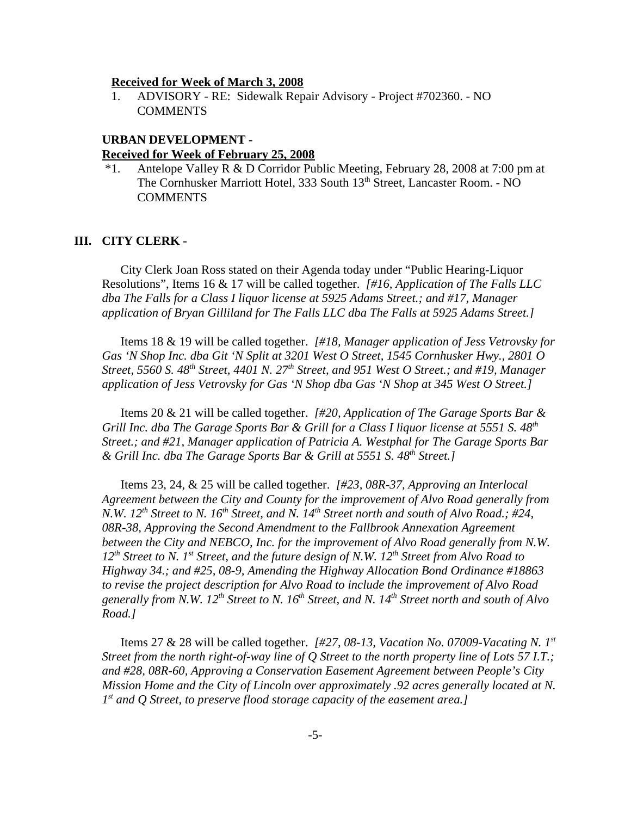#### **Received for Week of March 3, 2008**

1. ADVISORY - RE: Sidewalk Repair Advisory - Project #702360. - NO **COMMENTS** 

#### **URBAN DEVELOPMENT -**

#### **Received for Week of February 25, 2008**

 \*1. Antelope Valley R & D Corridor Public Meeting, February 28, 2008 at 7:00 pm at The Cornhusker Marriott Hotel, 333 South 13<sup>th</sup> Street, Lancaster Room. - NO COMMENTS

#### **III. CITY CLERK -**

City Clerk Joan Ross stated on their Agenda today under "Public Hearing-Liquor Resolutions", Items 16 & 17 will be called together. *[#16, Application of The Falls LLC dba The Falls for a Class I liquor license at 5925 Adams Street.; and #17, Manager application of Bryan Gilliland for The Falls LLC dba The Falls at 5925 Adams Street.]* 

Items 18 & 19 will be called together. *[#18, Manager application of Jess Vetrovsky for Gas 'N Shop Inc. dba Git 'N Split at 3201 West O Street, 1545 Cornhusker Hwy., 2801 O Street, 5560 S. 48th Street, 4401 N. 27th Street, and 951 West O Street.; and #19, Manager application of Jess Vetrovsky for Gas 'N Shop dba Gas 'N Shop at 345 West O Street.]* 

Items 20 & 21 will be called together. *[#20, Application of The Garage Sports Bar & Grill Inc. dba The Garage Sports Bar & Grill for a Class I liquor license at 5551 S. 48th Street.; and #21, Manager application of Patricia A. Westphal for The Garage Sports Bar & Grill Inc. dba The Garage Sports Bar & Grill at 5551 S. 48th Street.]* 

Items 23, 24, & 25 will be called together. *[#23, 08R-37, Approving an Interlocal Agreement between the City and County for the improvement of Alvo Road generally from N.W. 12<sup>th</sup> Street to N. 16<sup>th</sup> Street, and N. 14<sup>th</sup> Street north and south of Alvo Road.; #24, 08R-38, Approving the Second Amendment to the Fallbrook Annexation Agreement between the City and NEBCO, Inc. for the improvement of Alvo Road generally from N.W. 12th Street to N. 1st Street, and the future design of N.W. 12th Street from Alvo Road to Highway 34.; and #25, 08-9, Amending the Highway Allocation Bond Ordinance #18863 to revise the project description for Alvo Road to include the improvement of Alvo Road generally from N.W. 12th Street to N. 16th Street, and N. 14th Street north and south of Alvo Road.]*

Items 27 & 28 will be called together. *[#27, 08-13, Vacation No. 07009-Vacating N. 1st Street from the north right-of-way line of Q Street to the north property line of Lots 57 I.T.; and #28, 08R-60, Approving a Conservation Easement Agreement between People's City Mission Home and the City of Lincoln over approximately .92 acres generally located at N. 1st and Q Street, to preserve flood storage capacity of the easement area.]*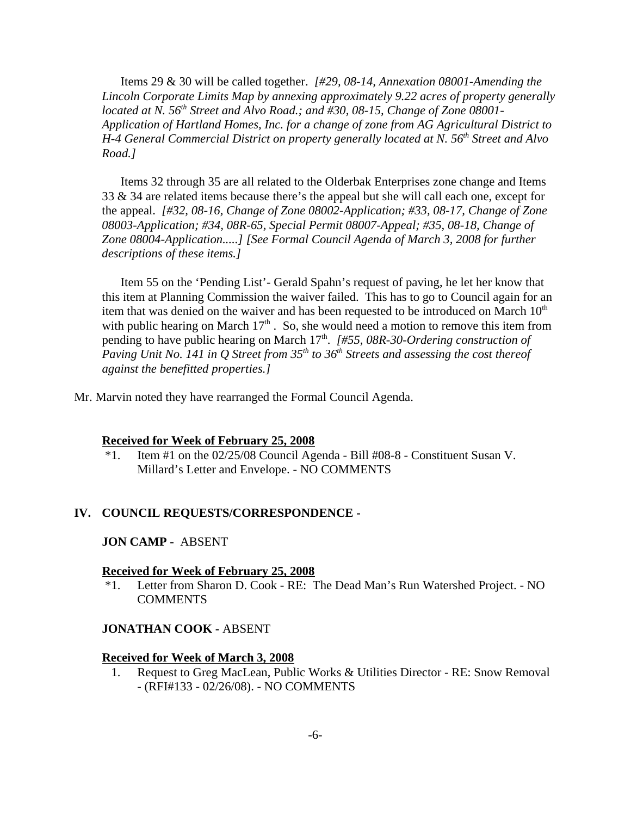Items 29 & 30 will be called together. *[#29, 08-14, Annexation 08001-Amending the Lincoln Corporate Limits Map by annexing approximately 9.22 acres of property generally located at N.* 56<sup>th</sup> Street and Alvo Road.; and #30, 08-15, Change of Zone 08001-*Application of Hartland Homes, Inc. for a change of zone from AG Agricultural District to H-4 General Commercial District on property generally located at N. 56th Street and Alvo Road.]*

Items 32 through 35 are all related to the Olderbak Enterprises zone change and Items 33 & 34 are related items because there's the appeal but she will call each one, except for the appeal. *[#32, 08-16, Change of Zone 08002-Application; #33, 08-17, Change of Zone 08003-Application; #34, 08R-65, Special Permit 08007-Appeal; #35, 08-18, Change of Zone 08004-Application.....] [See Formal Council Agenda of March 3, 2008 for further descriptions of these items.]* 

Item 55 on the 'Pending List'- Gerald Spahn's request of paving, he let her know that this item at Planning Commission the waiver failed. This has to go to Council again for an item that was denied on the waiver and has been requested to be introduced on March  $10<sup>th</sup>$ with public hearing on March  $17<sup>th</sup>$ . So, she would need a motion to remove this item from pending to have public hearing on March 17<sup>th</sup>. *[#55, 08R-30-Ordering construction of Paving Unit No. 141 in Q Street from 35<sup>th</sup> to 36<sup>th</sup> Streets and assessing the cost thereof against the benefitted properties.]* 

Mr. Marvin noted they have rearranged the Formal Council Agenda.

#### **Received for Week of February 25, 2008**

\*1. Item #1 on the 02/25/08 Council Agenda - Bill #08-8 - Constituent Susan V. Millard's Letter and Envelope. - NO COMMENTS

#### **IV. COUNCIL REQUESTS/CORRESPONDENCE -**

#### **JON CAMP -** ABSENT

#### **Received for Week of February 25, 2008**

 \*1. Letter from Sharon D. Cook - RE: The Dead Man's Run Watershed Project. - NO COMMENTS

#### **JONATHAN COOK -** ABSENT

#### **Received for Week of March 3, 2008**

1. Request to Greg MacLean, Public Works & Utilities Director - RE: Snow Removal - (RFI#133 - 02/26/08). - NO COMMENTS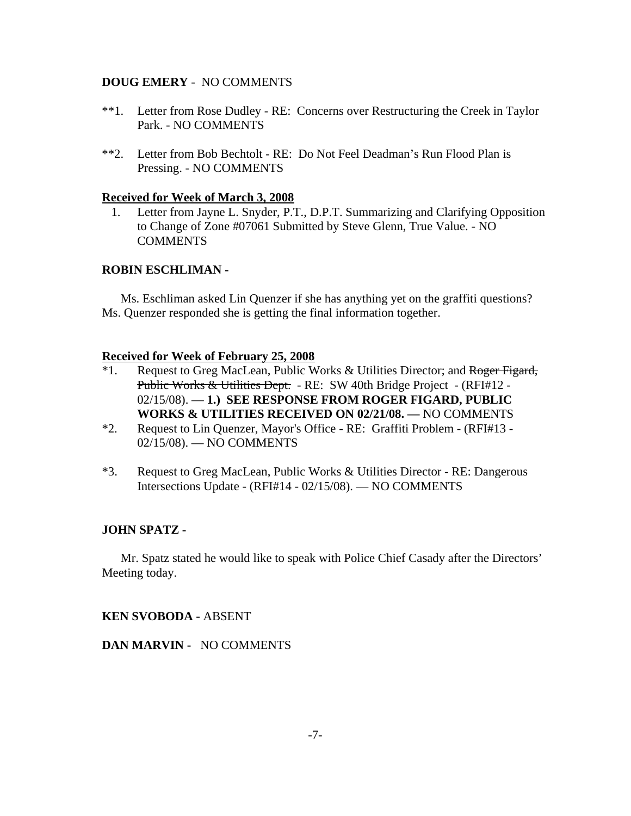#### **DOUG EMERY** - NO COMMENTS

- \*\*1. Letter from Rose Dudley RE: Concerns over Restructuring the Creek in Taylor Park. - NO COMMENTS
- \*\*2. Letter from Bob Bechtolt RE: Do Not Feel Deadman's Run Flood Plan is Pressing. - NO COMMENTS

#### **Received for Week of March 3, 2008**

1. Letter from Jayne L. Snyder, P.T., D.P.T. Summarizing and Clarifying Opposition to Change of Zone #07061 Submitted by Steve Glenn, True Value. - NO **COMMENTS** 

#### **ROBIN ESCHLIMAN -**

Ms. Eschliman asked Lin Quenzer if she has anything yet on the graffiti questions? Ms. Quenzer responded she is getting the final information together.

#### **Received for Week of February 25, 2008**

- <sup>\*1</sup>. Request to Greg MacLean, Public Works & Utilities Director; and Roger Figard, Public Works & Utilities Dept. - RE: SW 40th Bridge Project - (RFI#12 -02/15/08). — **1.) SEE RESPONSE FROM ROGER FIGARD, PUBLIC WORKS & UTILITIES RECEIVED ON 02/21/08. —** NO COMMENTS
- \*2. Request to Lin Quenzer, Mayor's Office RE: Graffiti Problem (RFI#13 02/15/08). — NO COMMENTS
- \*3. Request to Greg MacLean, Public Works & Utilities Director RE: Dangerous Intersections Update - (RFI#14 - 02/15/08). — NO COMMENTS

#### **JOHN SPATZ -**

Mr. Spatz stated he would like to speak with Police Chief Casady after the Directors' Meeting today.

#### **KEN SVOBODA -** ABSENT

**DAN MARVIN -** NO COMMENTS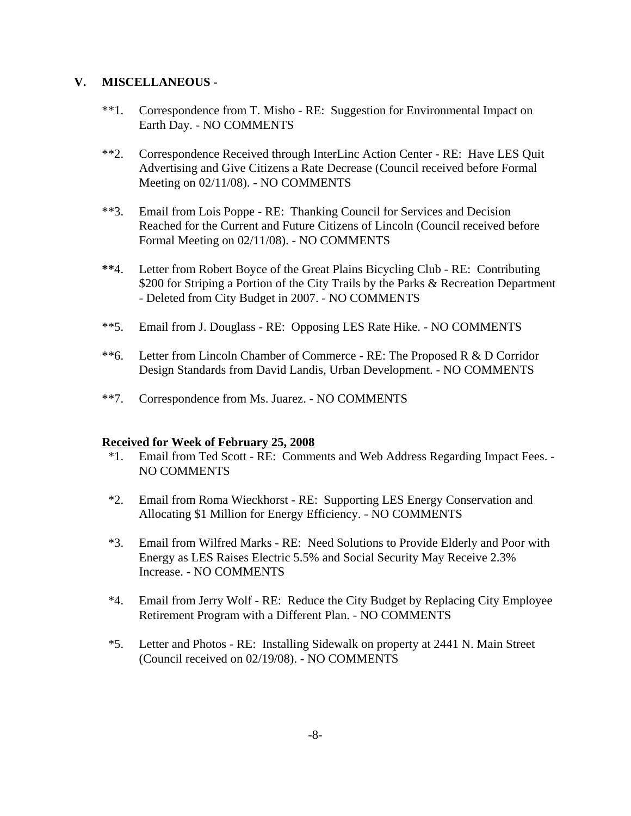### **V. MISCELLANEOUS -**

- \*\*1. Correspondence from T. Misho RE: Suggestion for Environmental Impact on Earth Day. - NO COMMENTS
- \*\*2. Correspondence Received through InterLinc Action Center RE: Have LES Quit Advertising and Give Citizens a Rate Decrease (Council received before Formal Meeting on 02/11/08). - NO COMMENTS
- \*\*3. Email from Lois Poppe RE: Thanking Council for Services and Decision Reached for the Current and Future Citizens of Lincoln (Council received before Formal Meeting on 02/11/08). - NO COMMENTS
- **\*\***4. Letter from Robert Boyce of the Great Plains Bicycling Club RE: Contributing \$200 for Striping a Portion of the City Trails by the Parks & Recreation Department - Deleted from City Budget in 2007. - NO COMMENTS
- \*\*5. Email from J. Douglass RE: Opposing LES Rate Hike. NO COMMENTS
- \*\*6. Letter from Lincoln Chamber of Commerce RE: The Proposed R & D Corridor Design Standards from David Landis, Urban Development. - NO COMMENTS
- \*\*7. Correspondence from Ms. Juarez. NO COMMENTS

#### **Received for Week of February 25, 2008**

- \*1. Email from Ted Scott RE: Comments and Web Address Regarding Impact Fees. NO COMMENTS
- \*2. Email from Roma Wieckhorst RE: Supporting LES Energy Conservation and Allocating \$1 Million for Energy Efficiency. - NO COMMENTS
- \*3. Email from Wilfred Marks RE: Need Solutions to Provide Elderly and Poor with Energy as LES Raises Electric 5.5% and Social Security May Receive 2.3% Increase. - NO COMMENTS
- \*4. Email from Jerry Wolf RE: Reduce the City Budget by Replacing City Employee Retirement Program with a Different Plan. - NO COMMENTS
- \*5. Letter and Photos RE: Installing Sidewalk on property at 2441 N. Main Street (Council received on 02/19/08). - NO COMMENTS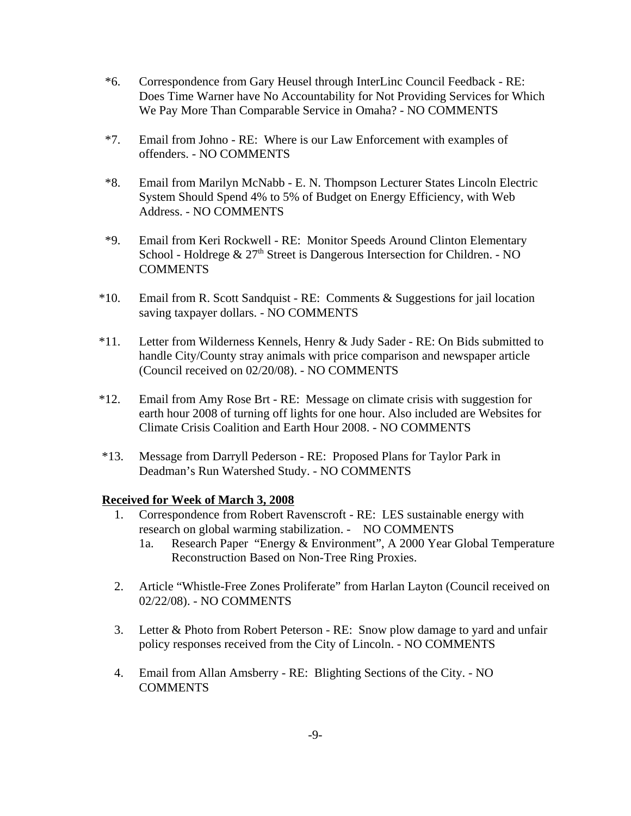- \*6. Correspondence from Gary Heusel through InterLinc Council Feedback RE: Does Time Warner have No Accountability for Not Providing Services for Which We Pay More Than Comparable Service in Omaha? - NO COMMENTS
- \*7. Email from Johno RE: Where is our Law Enforcement with examples of offenders. - NO COMMENTS
- \*8. Email from Marilyn McNabb E. N. Thompson Lecturer States Lincoln Electric System Should Spend 4% to 5% of Budget on Energy Efficiency, with Web Address. - NO COMMENTS
- \*9. Email from Keri Rockwell RE: Monitor Speeds Around Clinton Elementary School - Holdrege  $& 27<sup>th</sup>$  Street is Dangerous Intersection for Children. - NO COMMENTS
- \*10. Email from R. Scott Sandquist RE: Comments & Suggestions for jail location saving taxpayer dollars. - NO COMMENTS
- \*11. Letter from Wilderness Kennels, Henry & Judy Sader RE: On Bids submitted to handle City/County stray animals with price comparison and newspaper article (Council received on 02/20/08). - NO COMMENTS
- \*12. Email from Amy Rose Brt RE: Message on climate crisis with suggestion for earth hour 2008 of turning off lights for one hour. Also included are Websites for Climate Crisis Coalition and Earth Hour 2008. - NO COMMENTS
- \*13. Message from Darryll Pederson RE: Proposed Plans for Taylor Park in Deadman's Run Watershed Study. - NO COMMENTS

#### **Received for Week of March 3, 2008**

- 1. Correspondence from Robert Ravenscroft RE: LES sustainable energy with research on global warming stabilization. - NO COMMENTS
	- 1a. Research Paper "Energy & Environment", A 2000 Year Global Temperature Reconstruction Based on Non-Tree Ring Proxies.
- 2. Article "Whistle-Free Zones Proliferate" from Harlan Layton (Council received on 02/22/08). - NO COMMENTS
- 3. Letter & Photo from Robert Peterson RE: Snow plow damage to yard and unfair policy responses received from the City of Lincoln. - NO COMMENTS
- 4. Email from Allan Amsberry RE: Blighting Sections of the City. NO COMMENTS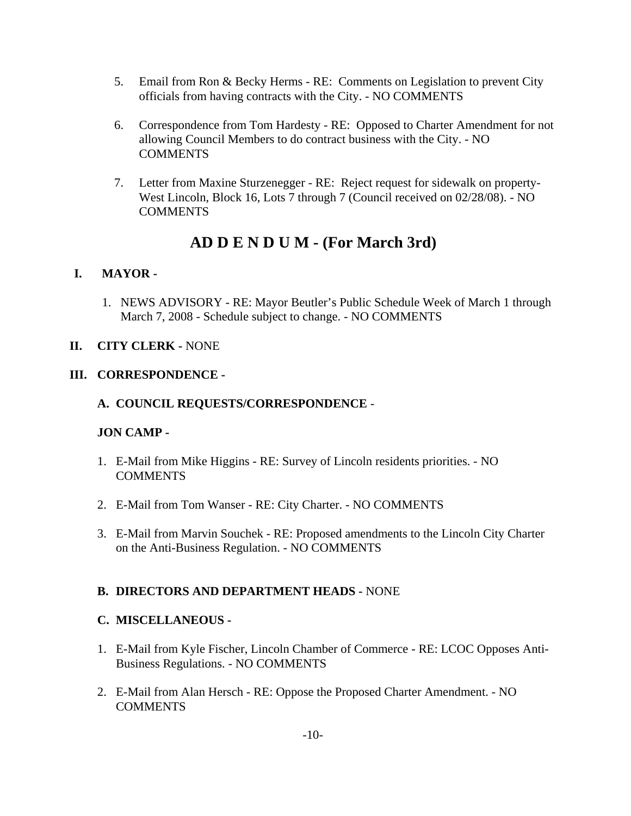- 5. Email from Ron & Becky Herms RE: Comments on Legislation to prevent City officials from having contracts with the City. - NO COMMENTS
- 6. Correspondence from Tom Hardesty RE: Opposed to Charter Amendment for not allowing Council Members to do contract business with the City. - NO **COMMENTS**
- 7. Letter from Maxine Sturzenegger RE: Reject request for sidewalk on property-West Lincoln, Block 16, Lots 7 through 7 (Council received on 02/28/08). - NO **COMMENTS**

# **AD D E N D U M - (For March 3rd)**

## **I. MAYOR -**

1. NEWS ADVISORY - RE: Mayor Beutler's Public Schedule Week of March 1 through March 7, 2008 - Schedule subject to change. - NO COMMENTS

### **II. CITY CLERK -** NONE

### **III. CORRESPONDENCE -**

### **A. COUNCIL REQUESTS/CORRESPONDENCE** -

### **JON CAMP -**

- 1. E-Mail from Mike Higgins RE: Survey of Lincoln residents priorities. NO **COMMENTS**
- 2. E-Mail from Tom Wanser RE: City Charter. NO COMMENTS
- 3. E-Mail from Marvin Souchek RE: Proposed amendments to the Lincoln City Charter on the Anti-Business Regulation. - NO COMMENTS

### **B. DIRECTORS AND DEPARTMENT HEADS -** NONE

### **C. MISCELLANEOUS -**

- 1. E-Mail from Kyle Fischer, Lincoln Chamber of Commerce RE: LCOC Opposes Anti-Business Regulations. - NO COMMENTS
- 2. E-Mail from Alan Hersch RE: Oppose the Proposed Charter Amendment. NO **COMMENTS**